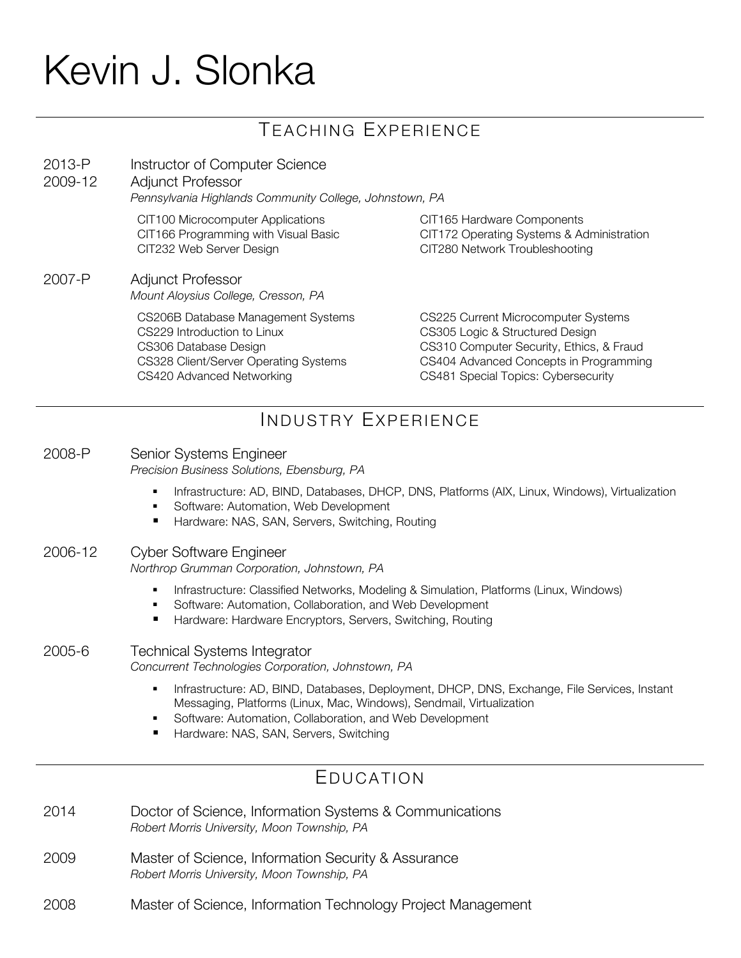# Kevin J. Slonka

# TEACHING EXPERIENCE

| 2013-P<br>2009-12   | Instructor of Computer Science<br><b>Adjunct Professor</b><br>Pennsylvania Highlands Community College, Johnstown, PA                                            |                                                                                                                                                                                                     |
|---------------------|------------------------------------------------------------------------------------------------------------------------------------------------------------------|-----------------------------------------------------------------------------------------------------------------------------------------------------------------------------------------------------|
|                     | CIT100 Microcomputer Applications<br>CIT166 Programming with Visual Basic<br>CIT232 Web Server Design                                                            | CIT165 Hardware Components<br>CIT172 Operating Systems & Administration<br>CIT280 Network Troubleshooting                                                                                           |
| 2007-P              | Adjunct Professor<br>Mount Aloysius College, Cresson, PA                                                                                                         |                                                                                                                                                                                                     |
|                     | CS206B Database Management Systems<br>CS229 Introduction to Linux<br>CS306 Database Design<br>CS328 Client/Server Operating Systems<br>CS420 Advanced Networking | CS225 Current Microcomputer Systems<br>CS305 Logic & Structured Design<br>CS310 Computer Security, Ethics, & Fraud<br>CS404 Advanced Concepts in Programming<br>CS481 Special Topics: Cybersecurity |
| INDUSTRY EXPERIENCE |                                                                                                                                                                  |                                                                                                                                                                                                     |

#### 2008-P Senior Systems Engineer *Precision Business Solutions, Ebensburg, PA*

- **Infrastructure: AD, BIND, Databases, DHCP, DNS, Platforms (AIX, Linux, Windows), Virtualization**
- **Software: Automation, Web Development**
- Hardware: NAS, SAN, Servers, Switching, Routing

#### 2006-12 Cyber Software Engineer

*Northrop Grumman Corporation, Johnstown, PA*

- **Infrastructure: Classified Networks, Modeling & Simulation, Platforms (Linux, Windows)**
- Software: Automation, Collaboration, and Web Development
- Hardware: Hardware Encryptors, Servers, Switching, Routing

#### 2005-6 Technical Systems Integrator

*Concurrent Technologies Corporation, Johnstown, PA*

- **Infrastructure: AD, BIND, Databases, Deployment, DHCP, DNS, Exchange, File Services, Instant** Messaging, Platforms (Linux, Mac, Windows), Sendmail, Virtualization
- **Software: Automation, Collaboration, and Web Development**
- Hardware: NAS, SAN, Servers, Switching

### EDUCATION

- 2014 Doctor of Science, Information Systems & Communications *Robert Morris University, Moon Township, PA*
- 2009 Master of Science, Information Security & Assurance *Robert Morris University, Moon Township, PA*
- 2008 Master of Science, Information Technology Project Management